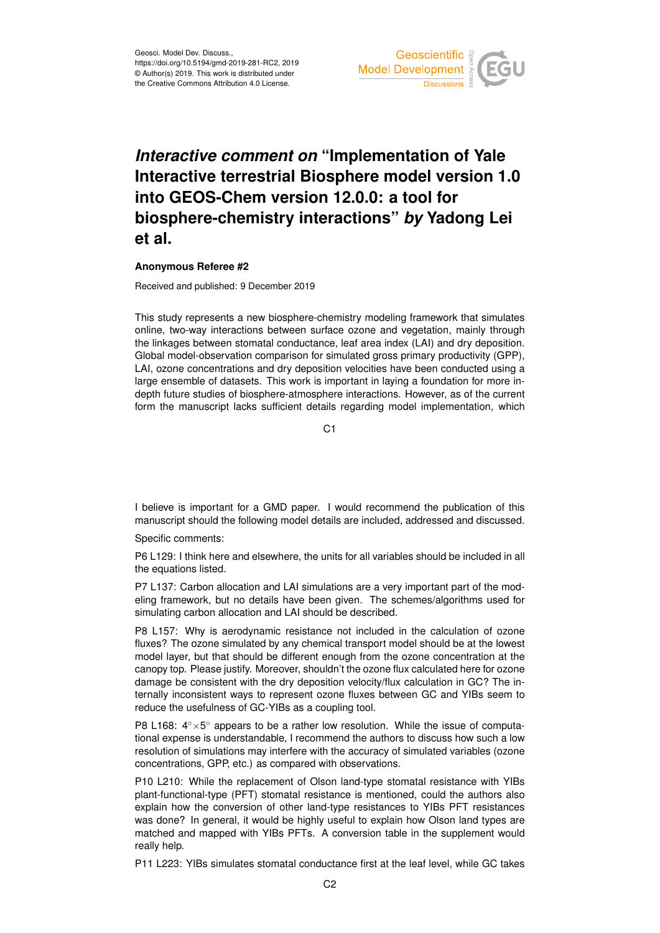

## *Interactive comment on* **"Implementation of Yale Interactive terrestrial Biosphere model version 1.0 into GEOS-Chem version 12.0.0: a tool for biosphere-chemistry interactions"** *by* **Yadong Lei et al.**

## **Anonymous Referee #2**

Received and published: 9 December 2019

This study represents a new biosphere-chemistry modeling framework that simulates online, two-way interactions between surface ozone and vegetation, mainly through the linkages between stomatal conductance, leaf area index (LAI) and dry deposition. Global model-observation comparison for simulated gross primary productivity (GPP), LAI, ozone concentrations and dry deposition velocities have been conducted using a large ensemble of datasets. This work is important in laying a foundation for more indepth future studies of biosphere-atmosphere interactions. However, as of the current form the manuscript lacks sufficient details regarding model implementation, which

 $C<sub>1</sub>$ 

I believe is important for a GMD paper. I would recommend the publication of this manuscript should the following model details are included, addressed and discussed.

Specific comments:

P6 L129: I think here and elsewhere, the units for all variables should be included in all the equations listed.

P7 L137: Carbon allocation and LAI simulations are a very important part of the modeling framework, but no details have been given. The schemes/algorithms used for simulating carbon allocation and LAI should be described.

P8 L157: Why is aerodynamic resistance not included in the calculation of ozone fluxes? The ozone simulated by any chemical transport model should be at the lowest model layer, but that should be different enough from the ozone concentration at the canopy top. Please justify. Moreover, shouldn't the ozone flux calculated here for ozone damage be consistent with the dry deposition velocity/flux calculation in GC? The internally inconsistent ways to represent ozone fluxes between GC and YIBs seem to reduce the usefulness of GC-YIBs as a coupling tool.

P8 L168: 4° × 5° appears to be a rather low resolution. While the issue of computational expense is understandable, I recommend the authors to discuss how such a low resolution of simulations may interfere with the accuracy of simulated variables (ozone concentrations, GPP, etc.) as compared with observations.

P10 L210: While the replacement of Olson land-type stomatal resistance with YIBs plant-functional-type (PFT) stomatal resistance is mentioned, could the authors also explain how the conversion of other land-type resistances to YIBs PFT resistances was done? In general, it would be highly useful to explain how Olson land types are matched and mapped with YIBs PFTs. A conversion table in the supplement would really help.

P11 L223: YIBs simulates stomatal conductance first at the leaf level, while GC takes